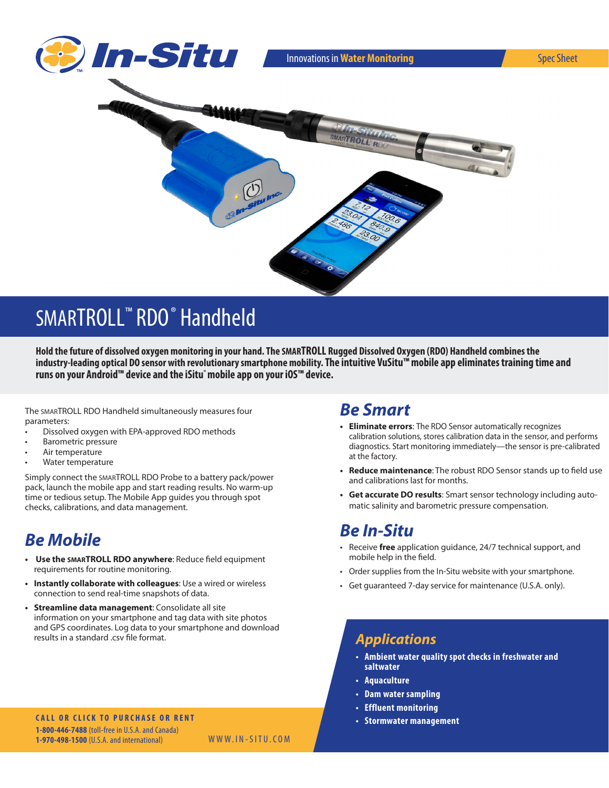

# SMARTROLL<sup>™</sup> RDO<sup>®</sup> Handheld

**Hold the future of dissolved oxygen monitoring in your hand. The SMARTROLL Rugged Dissolved Oxygen (RDO) Handheld combines the industry-leading optical DO sensor with revolutionary smartphone mobility. The intuitive VuSitu™ mobile app eliminates training time and runs on your Android™ device and the iSitu**® **mobile app on your iOS™ device.**

The SMARTROLL RDO Handheld simultaneously measures four parameters:

- Dissolved oxygen with EPA-approved RDO methods
- **Barometric pressure**
- Air temperature
- Water temperature

Simply connect the SMARTROLL RDO Probe to a battery pack/power pack, launch the mobile app and start reading results. No warm-up time or tedious setup. The Mobile App guides you through spot checks, calibrations, and data management.

## *Be Mobile*

- **• Use the SMARTROLL RDO anywhere**: Reduce field equipment requirements for routine monitoring.
- **• Instantly collaborate with colleagues**: Use a wired or wireless connection to send real-time snapshots of data.
- **• Streamline data management**: Consolidate all site information on your smartphone and tag data with site photos and GPS coordinates. Log data to your smartphone and download results in a standard .csv file format.

#### **CALL OR CLICK TO PURCHASE OR RENT 1-800-446-7488** (toll-free in U.S.A. and Canada) **1-970-498-1500** (U.S.A. and international)

WWW.IN-SITU.COM

### *Be Smart*

- **• Eliminate errors**: The RDO Sensor automatically recognizes calibration solutions, stores calibration data in the sensor, and performs diagnostics. Start monitoring immediately—the sensor is pre-calibrated at the factory.
- **• Reduce maintenance**: The robust RDO Sensor stands up to field use and calibrations last for months.
- **• Get accurate DO results**: Smart sensor technology including automatic salinity and barometric pressure compensation.

#### *Be In-Situ*

- Receive *free* application guidance, 24/7 technical support, and mobile help in the field.
- Order supplies from the In-Situ website with your smartphone.
- Get guaranteed 7-day service for maintenance (U.S.A. only).

### *Applications*

- **• Ambient water quality spot checks in freshwater and saltwater**
- **• Aquaculture**
- **• Dam water sampling**
- **• Effluent monitoring**
- **• Stormwater management**